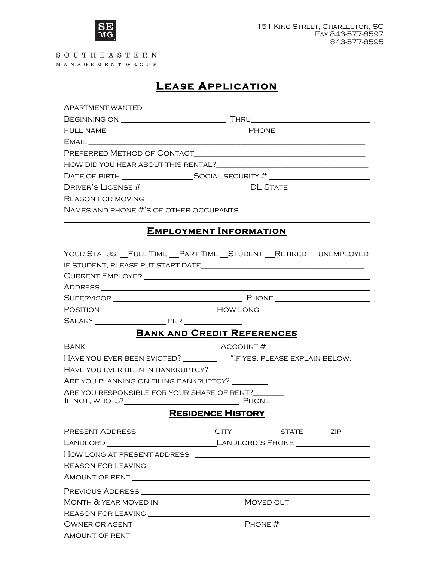

SOUTHEASTERN MANAGEMENT GROUP

## **LEASE APPLICATION**

| APARTMENT WANTED __________________                                  |                                                                                |
|----------------------------------------------------------------------|--------------------------------------------------------------------------------|
|                                                                      |                                                                                |
|                                                                      |                                                                                |
|                                                                      |                                                                                |
|                                                                      |                                                                                |
|                                                                      |                                                                                |
|                                                                      |                                                                                |
|                                                                      |                                                                                |
|                                                                      |                                                                                |
|                                                                      |                                                                                |
|                                                                      | <b>EMPLOYMENT INFORMATION</b>                                                  |
|                                                                      | YOUR STATUS: FULL TIME __ PART TIME __ STUDENT __ RETIRED __ UNEMPLOYED        |
|                                                                      |                                                                                |
|                                                                      |                                                                                |
|                                                                      |                                                                                |
|                                                                      |                                                                                |
|                                                                      |                                                                                |
|                                                                      | <b>BANK AND CREDIT REFERENCES</b>                                              |
|                                                                      |                                                                                |
|                                                                      | HAVE YOU EVER BEEN EVICTED? __________ *IF YES, PLEASE EXPLAIN BELOW.          |
| HAVE YOU EVER BEEN IN BANKRUPTCY?                                    |                                                                                |
| ARE YOU PLANNING ON FILING BANKRUPTCY?                               |                                                                                |
| ARE YOU RESPONSIBLE FOR YOUR SHARE OF RENT?<br>IF NOT, WHO IS? PHONE |                                                                                |
|                                                                      | <b>RESIDENCE HISTORY</b>                                                       |
|                                                                      | PRESENT ADDRESS _________________CITY ______________STATE _______ ZIP ________ |
|                                                                      |                                                                                |
|                                                                      |                                                                                |
|                                                                      |                                                                                |
|                                                                      |                                                                                |
|                                                                      |                                                                                |
|                                                                      |                                                                                |
|                                                                      |                                                                                |
|                                                                      |                                                                                |
|                                                                      |                                                                                |